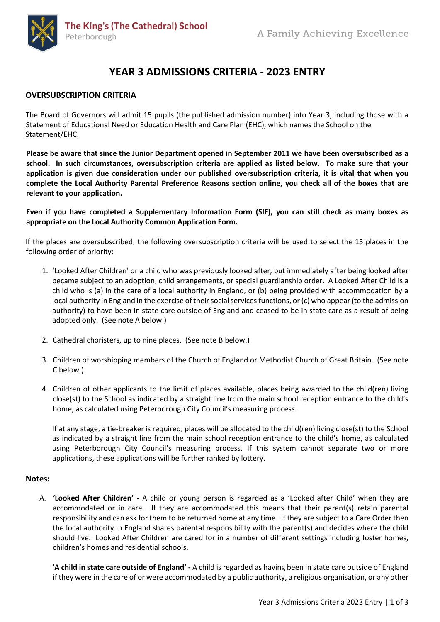

# **YEAR 3 ADMISSIONS CRITERIA - 2023 ENTRY**

## **OVERSUBSCRIPTION CRITERIA**

The Board of Governors will admit 15 pupils (the published admission number) into Year 3, including those with a Statement of Educational Need or Education Health and Care Plan (EHC), which names the School on the Statement/EHC.

**Please be aware that since the Junior Department opened in September 2011 we have been oversubscribed as a school. In such circumstances, oversubscription criteria are applied as listed below. To make sure that your application is given due consideration under our published oversubscription criteria, it is vital that when you complete the Local Authority Parental Preference Reasons section online, you check all of the boxes that are relevant to your application.**

**Even if you have completed a Supplementary Information Form (SIF), you can still check as many boxes as appropriate on the Local Authority Common Application Form.**

If the places are oversubscribed, the following oversubscription criteria will be used to select the 15 places in the following order of priority:

- 1. 'Looked After Children' or a child who was previously looked after, but immediately after being looked after became subject to an adoption, child arrangements, or special guardianship order. A Looked After Child is a child who is (a) in the care of a local authority in England, or (b) being provided with accommodation by a local authority in England in the exercise of their social services functions, or (c) who appear (to the admission authority) to have been in state care outside of England and ceased to be in state care as a result of being adopted only. (See note A below.)
- 2. Cathedral choristers, up to nine places. (See note B below.)
- 3. Children of worshipping members of the Church of England or Methodist Church of Great Britain. (See note C below.)
- 4. Children of other applicants to the limit of places available, places being awarded to the child(ren) living close(st) to the School as indicated by a straight line from the main school reception entrance to the child's home, as calculated using Peterborough City Council's measuring process.

If at any stage, a tie-breaker is required, places will be allocated to the child(ren) living close(st) to the School as indicated by a straight line from the main school reception entrance to the child's home, as calculated using Peterborough City Council's measuring process. If this system cannot separate two or more applications, these applications will be further ranked by lottery.

### **Notes:**

A. **'Looked After Children' -** A child or young person is regarded as a 'Looked after Child' when they are accommodated or in care. If they are accommodated this means that their parent(s) retain parental responsibility and can ask for them to be returned home at any time. If they are subject to a Care Order then the local authority in England shares parental responsibility with the parent(s) and decides where the child should live. Looked After Children are cared for in a number of different settings including foster homes, children's homes and residential schools.

**'A child in state care outside of England' -** A child is regarded as having been in state care outside of England if they were in the care of or were accommodated by a public authority, a religious organisation, or any other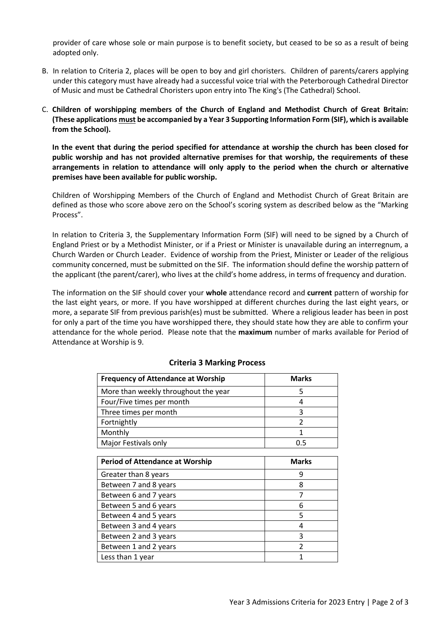provider of care whose sole or main purpose is to benefit society, but ceased to be so as a result of being adopted only.

- B. In relation to Criteria 2, places will be open to boy and girl choristers. Children of parents/carers applying under this category must have already had a successful voice trial with the Peterborough Cathedral Director of Music and must be Cathedral Choristers upon entry into The King's (The Cathedral) School.
- C. **Children of worshipping members of the Church of England and Methodist Church of Great Britain: (These applications must be accompanied by a Year 3 Supporting Information Form (SIF), which is available from the School).**

**In the event that during the period specified for attendance at worship the church has been closed for public worship and has not provided alternative premises for that worship, the requirements of these arrangements in relation to attendance will only apply to the period when the church or alternative premises have been available for public worship.**

Children of Worshipping Members of the Church of England and Methodist Church of Great Britain are defined as those who score above zero on the School's scoring system as described below as the "Marking Process".

In relation to Criteria 3, the Supplementary Information Form (SIF) will need to be signed by a Church of England Priest or by a Methodist Minister, or if a Priest or Minister is unavailable during an interregnum, a Church Warden or Church Leader. Evidence of worship from the Priest, Minister or Leader of the religious community concerned, must be submitted on the SIF. The information should define the worship pattern of the applicant (the parent/carer), who lives at the child's home address, in terms of frequency and duration.

The information on the SIF should cover your **whole** attendance record and **current** pattern of worship for the last eight years, or more. If you have worshipped at different churches during the last eight years, or more, a separate SIF from previous parish(es) must be submitted. Where a religious leader has been in post for only a part of the time you have worshipped there, they should state how they are able to confirm your attendance for the whole period. Please note that the **maximum** number of marks available for Period of Attendance at Worship is 9.

| <b>Frequency of Attendance at Worship</b> | <b>Marks</b> |
|-------------------------------------------|--------------|
| More than weekly throughout the year      |              |
| Four/Five times per month                 |              |
| Three times per month                     | з            |
| Fortnightly                               |              |
| Monthly                                   |              |
| Major Festivals only                      | 0.5          |
|                                           |              |

### **Criteria 3 Marking Process**

| <b>Period of Attendance at Worship</b> | <b>Marks</b> |
|----------------------------------------|--------------|
| Greater than 8 years                   | 9            |
| Between 7 and 8 years                  | 8            |
| Between 6 and 7 years                  |              |
| Between 5 and 6 years                  | 6            |
| Between 4 and 5 years                  | 5            |
| Between 3 and 4 years                  |              |
| Between 2 and 3 years                  | 3            |
| Between 1 and 2 years                  | 2            |
| Less than 1 year                       |              |